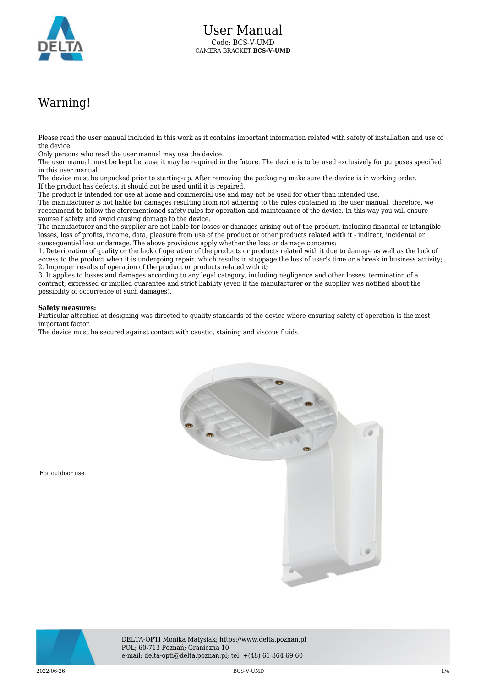

## Warning!

Please read the user manual included in this work as it contains important information related with safety of installation and use of the device.

Only persons who read the user manual may use the device.

The user manual must be kept because it may be required in the future. The device is to be used exclusively for purposes specified in this user manual.

The device must be unpacked prior to starting-up. After removing the packaging make sure the device is in working order. If the product has defects, it should not be used until it is repaired.

The product is intended for use at home and commercial use and may not be used for other than intended use.

The manufacturer is not liable for damages resulting from not adhering to the rules contained in the user manual, therefore, we recommend to follow the aforementioned safety rules for operation and maintenance of the device. In this way you will ensure yourself safety and avoid causing damage to the device.

The manufacturer and the supplier are not liable for losses or damages arising out of the product, including financial or intangible losses, loss of profits, income, data, pleasure from use of the product or other products related with it - indirect, incidental or consequential loss or damage. The above provisions apply whether the loss or damage concerns:

1. Deterioration of quality or the lack of operation of the products or products related with it due to damage as well as the lack of access to the product when it is undergoing repair, which results in stoppage the loss of user's time or a break in business activity; 2. Improper results of operation of the product or products related with it;

3. It applies to losses and damages according to any legal category, including negligence and other losses, termination of a contract, expressed or implied guarantee and strict liability (even if the manufacturer or the supplier was notified about the possibility of occurrence of such damages).

## **Safety measures:**

For outdoor use.

Particular attention at designing was directed to quality standards of the device where ensuring safety of operation is the most important factor.

The device must be secured against contact with caustic, staining and viscous fluids.





DELTA-OPTI Monika Matysiak; https://www.delta.poznan.pl POL; 60-713 Poznań; Graniczna 10 e-mail: delta-opti@delta.poznan.pl; tel: +(48) 61 864 69 60

2022-06-26 BCS-V-UMD 1/4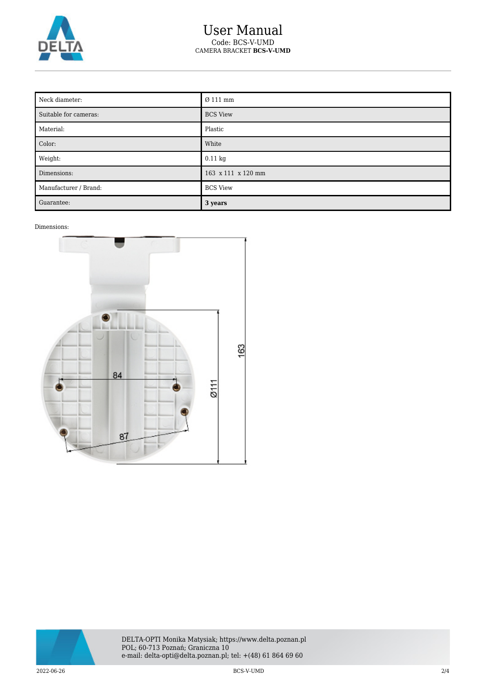

## User Manual Code: BCS-V-UMD CAMERA BRACKET **BCS-V-UMD**

| Neck diameter:        | Ø 111 mm           |
|-----------------------|--------------------|
| Suitable for cameras: | <b>BCS View</b>    |
| Material:             | Plastic            |
| Color:                | White              |
| Weight:               | $0.11 \text{ kg}$  |
| Dimensions:           | 163 x 111 x 120 mm |
| Manufacturer / Brand: | <b>BCS View</b>    |
| Guarantee:            | 3 years            |

## Dimensions:





2022-06-26 BCS-V-UMD 2/4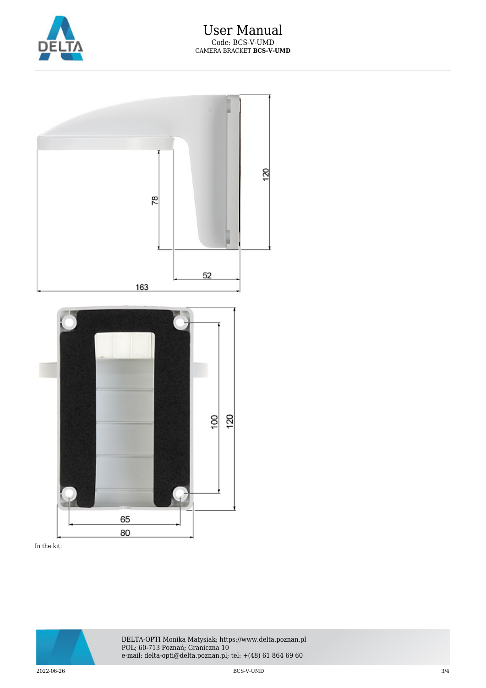



In the kit: